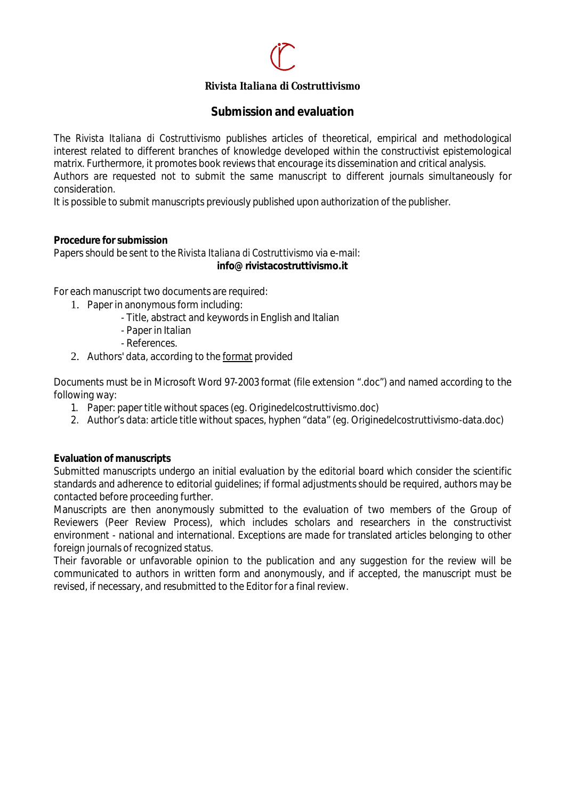## *Rivista Italiana di Costruttivismo*

## **Submission and evaluation**

The *Rivista Italiana di Costruttivismo* publishes articles of theoretical, empirical and methodological interest related to different branches of knowledge developed within the constructivist epistemological matrix. Furthermore, it promotes book reviews that encourage its dissemination and critical analysis. Authors are requested not to submit the same manuscript to different journals simultaneously for consideration.

It is possible to submit manuscripts previously published upon authorization of the publisher.

#### **Procedure for submission**

Papers should be sent to the *Rivista Italiana di Costruttivismo* via e-mail: **info@rivistacostruttivismo.it**

For each manuscript two documents are required:

- 1. Paper in anonymous form including:
	- Title, abstract and keywords in English and Italian
	- Paper in Italian
	- References.
- 2. Authors' data, according to the format provided

Documents must be in Microsoft Word 97-2003 format (file extension ".doc") and named according to the following way:

- 1. Paper: paper title without spaces (eg. Originedelcostruttivismo.doc)
- 2. Author's data: article title without spaces, hyphen "data" (eg. Originedelcostruttivismo-data.doc)

#### **Evaluation of manuscripts**

Submitted manuscripts undergo an initial evaluation by the editorial board which consider the scientific standards and adherence to editorial guidelines; if formal adjustments should be required, authors may be contacted before proceeding further.

Manuscripts are then anonymously submitted to the evaluation of two members of the Group of Reviewers (Peer Review Process), which includes scholars and researchers in the constructivist environment - national and international. Exceptions are made for translated articles belonging to other foreign journals of recognized status.

Their favorable or unfavorable opinion to the publication and any suggestion for the review will be communicated to authors in written form and anonymously, and if accepted, the manuscript must be revised, if necessary, and resubmitted to the Editor for a final review.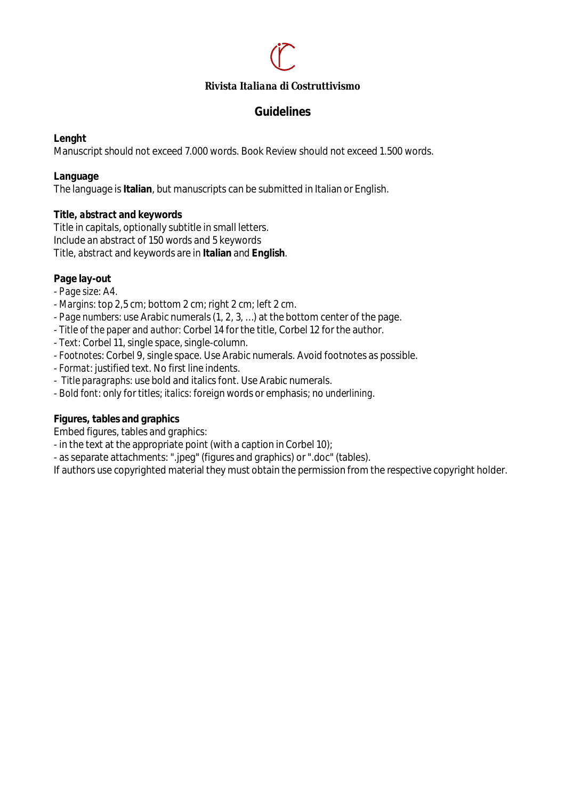#### *Rivista Italiana di Costruttivismo*

## **Guidelines**

#### **Lenght**

Manuscript should not exceed 7.000 words. Book Review should not exceed 1.500 words.

#### **Language**

The language is **Italian**, but manuscripts can be submitted in Italian or English.

#### **Title,** *abstract* **and keywords**

Title in capitals, optionally subtitle in small letters. Include an abstract of 150 words and 5 keywords Title, *abstract* and keywords are in **Italian** and **English**.

#### **Page lay-out**

- *Page size*: A4.
- *Margins*: top 2,5 cm; bottom 2 cm; right 2 cm; left 2 cm.
- *Page numbers*: use Arabic numerals (1, 2, 3, …) at the bottom center of the page.
- *Title of the paper and author:* Corbel 14 for the title, Corbel 12 for the author.
- *Text*: Corbel 11, single space, single-column.
- *Footnotes*: Corbel 9, single space. Use Arabic numerals. Avoid footnotes as possible.
- *Format*: justified text. No first line indents.
- *Title paragraphs*: use bold and italics font. Use Arabic numerals.
- *Bold font*: only for titles; *italics*: foreign words or emphasis; no *underlining*.

## **Figures, tables and graphics**

Embed figures, tables and graphics:

- in the text at the appropriate point (with a caption in Corbel 10);
- as separate attachments: ".jpeg" (figures and graphics) or ".doc" (tables).

If authors use copyrighted material they must obtain the permission from the respective copyright holder.